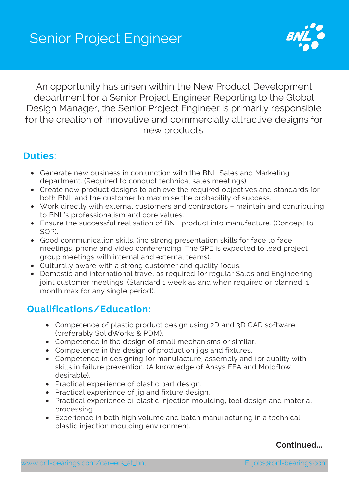

An opportunity has arisen within the New Product Development department for a Senior Project Engineer Reporting to the Global Design Manager, the Senior Project Engineer is primarily responsible for the creation of innovative and commercially attractive designs for new products.

### **Duties:**

- Generate new business in conjunction with the BNL Sales and Marketing department. (Required to conduct technical sales meetings).
- Create new product designs to achieve the required objectives and standards for both BNL and the customer to maximise the probability of success.
- Work directly with external customers and contractors maintain and contributing to BNL's professionalism and core values.
- Ensure the successful realisation of BNL product into manufacture. (Concept to SOP).
- Good communication skills. (inc strong presentation skills for face to face meetings, phone and video conferencing. The SPE is expected to lead project group meetings with internal and external teams).
- Culturally aware with a strong customer and quality focus.
- Domestic and international travel as required for regular Sales and Engineering joint customer meetings. (Standard 1 week as and when required or planned, 1 month max for any single period).

## **Qualifications/Education:**

- Competence of plastic product design using 2D and 3D CAD software (preferably SolidWorks & PDM).
- Competence in the design of small mechanisms or similar.
- Competence in the design of production jigs and fixtures.
- Competence in designing for manufacture, assembly and for quality with skills in failure prevention. (A knowledge of Ansys FEA and Moldflow desirable).
- Practical experience of plastic part design.
- Practical experience of jig and fixture design.
- Practical experience of plastic injection moulding, tool design and material processing.
- Experience in both high volume and batch manufacturing in a technical plastic injection moulding environment.

#### **Continued...**